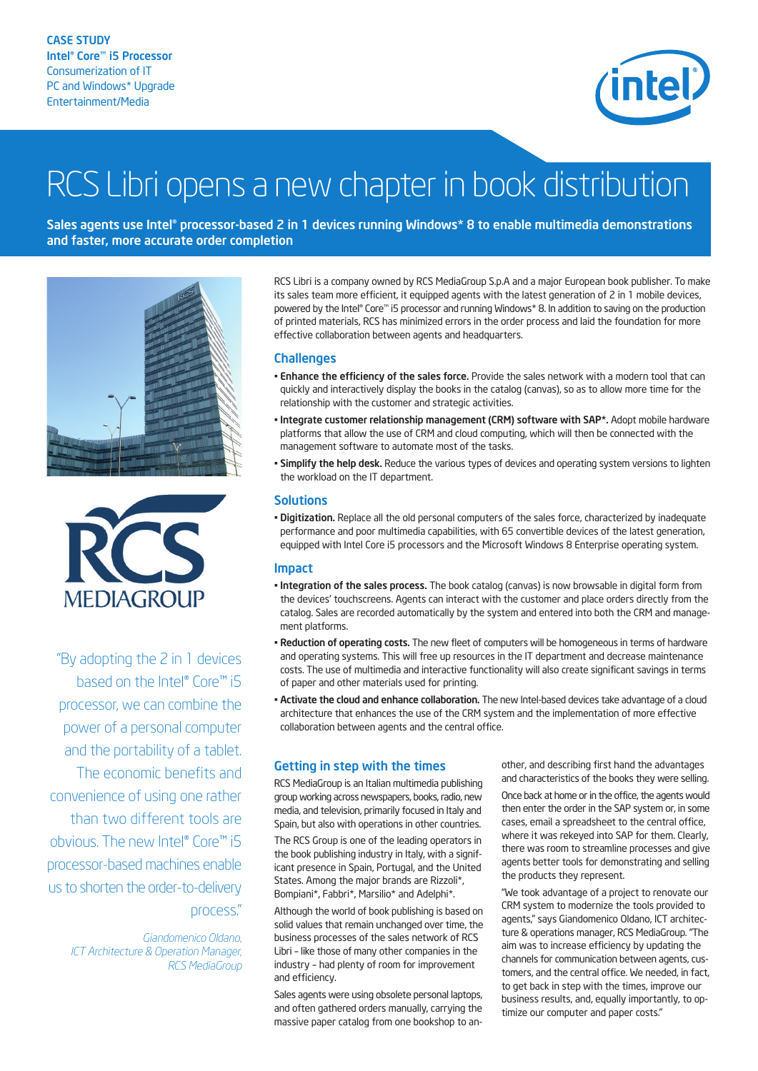

# RCS Libri opens a new chapter in book distribution

Sales agents use Intel® processor-based 2 in 1 devices running Windows\* 8 to enable multimedia demonstrations and faster, more accurate order completion





"By adopting the 2 in 1 devices based on the Intel® Core™ i5 processor, we can combine the power of a personal computer and the portability of a tablet. The economic benefits and convenience of using one rather than two different tools are obvious. The new Intel® Core™ i5 processor-based machines enable us to shorten the order-to-delivery process."

> *Giandomenico Oldano, ICT Architecture & Operation Manager, RCS MediaGroup*

RCS Libri is a company owned by RCS MediaGroup S.p.A and a major European book publisher. To make its sales team more efficient, it equipped agents with the latest generation of 2 in 1 mobile devices, powered by the Intel® Core™ i5 processor and running Windows\* 8. In addition to saving on the production of printed materials, RCS has minimized errors in the order process and laid the foundation for more effective collaboration between agents and headquarters.

### **Challenges**

- Enhance the efficiency of the sales force. Provide the sales network with a modern tool that can quickly and interactively display the books in the catalog (canvas), so as to allow more time for the relationship with the customer and strategic activities.
- Integrate customer relationship management (CRM) software with SAP\*. Adopt mobile hardware platforms that allow the use of CRM and cloud computing, which will then be connected with the management software to automate most of the tasks.
- Simplify the help desk. Reduce the various types of devices and operating system versions to lighten the workload on the IT department.

### **Solutions**

• Digitization. Replace all the old personal computers of the sales force, characterized by inadequate performance and poor multimedia capabilities, with 65 convertible devices of the latest generation, equipped with Intel Core i5 processors and the Microsoft Windows 8 Enterprise operating system.

#### Impact

- Integration of the sales process. The book catalog (canvas) is now browsable in digital form from the devices' touchscreens. Agents can interact with the customer and place orders directly from the catalog. Sales are recorded automatically by the system and entered into both the CRM and management platforms.
- Reduction of operating costs. The new fleet of computers will be homogeneous in terms of hardware and operating systems. This will free up resources in the IT department and decrease maintenance costs. The use of multimedia and interactive functionality will also create significant savings in terms of paper and other materials used for printing.
- Activate the cloud and enhance collaboration. The new Intel-based devices take advantage of a cloud architecture that enhances the use of the CRM system and the implementation of more effective collaboration between agents and the central office.

# Getting in step with the times

RCS MediaGroup is an Italian multimedia publishing group working across newspapers, books, radio, new media, and television, primarily focused in Italy and Spain, but also with operations in other countries.

The RCS Group is one of the leading operators in the book publishing industry in Italy, with a significant presence in Spain, Portugal, and the United States. Among the major brands are Rizzoli\*, Bompiani\*, Fabbri\*, Marsilio\* and Adelphi\*.

Although the world of book publishing is based on solid values that remain unchanged over time, the business processes of the sales network of RCS Libri – like those of many other companies in the industry – had plenty of room for improvement and efficiency.

Sales agents were using obsolete personal laptops, and often gathered orders manually, carrying the massive paper catalog from one bookshop to another, and describing first hand the advantages and characteristics of the books they were selling.

Once back at home or in the office, the agents would then enter the order in the SAP system or, in some cases, email a spreadsheet to the central office, where it was rekeyed into SAP for them. Clearly, there was room to streamline processes and give agents better tools for demonstrating and selling the products they represent.

"We took advantage of a project to renovate our CRM system to modernize the tools provided to agents," says Giandomenico Oldano, ICT architecture & operations manager, RCS MediaGroup. "The aim was to increase efficiency by updating the channels for communication between agents, customers, and the central office. We needed, in fact, to get back in step with the times, improve our business results, and, equally importantly, to optimize our computer and paper costs."